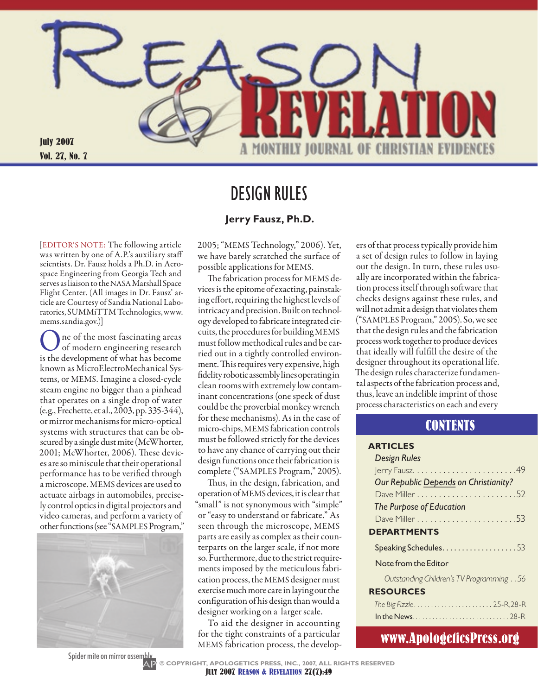

## design rules

### **Jerry Fausz, Ph.D.**

[EDITOR'S NOTE: The following article was written by one of A.P.'s auxiliary staff scientists. Dr. Fausz holds a Ph.D. in Aerospace Engineering from Georgia Tech and serves as liaison to the NASA Marshall Space Flight Center. (All images in Dr. Fausz' article are Courtesy of Sandia National Laboratories, SUMMiTTM Technologies, www. mems.sandia.gov.)]

ne of the most fascinating areas of modern engineering research is the development of what has become known as MicroElectroMechanical Systems, or MEMS. Imagine a closed-cycle steam engine no bigger than a pinhead that operates on a single drop of water (e.g., Frechette, et al., 2003, pp. 335-344), or mirror mechanisms for micro-optical systems with structures that can be obscured by a single dust mite (McWhorter, 2001; McWhorter, 2006). These devices are so miniscule that their operational performance has to be verified through a microscope. MEMS devices are used to actuate airbags in automobiles, precisely control optics in digital projectors and video cameras, and perform a variety of other functions (see "SAMPLES Program,"



2005; "MEMS Technology," 2006). Yet, we have barely scratched the surface of possible applications for MEMS.

The fabrication process for MEMS devices is the epitome of exacting, painstaking effort, requiring the highest levels of intricacy and precision. Built on technology developed to fabricate integrated circuits, the procedures for building MEMS must follow methodical rules and be carried out in a tightly controlled environment. This requires very expensive, high fidelity robotic assembly lines operating in clean rooms with extremely low contaminant concentrations (one speck of dust could be the proverbial monkey wrench for these mechanisms). As in the case of micro-chips, MEMS fabrication controls must be followed strictly for the devices to have any chance of carrying out their design functions once their fabrication is complete ("SAMPLES Program," 2005).

Thus, in the design, fabrication, and operation of MEMS devices, it is clear that "small" is not synonymous with "simple" or "easy to understand or fabricate." As seen through the microscope, MEMS parts are easily as complex as their counterparts on the larger scale, if not more so. Furthermore, due to the strict requirements imposed by the meticulous fabrication process, the MEMS designer must exercise much more care in laying out the configuration of his design than would a designer working on a larger scale.

To aid the designer in accounting for the tight constraints of a particular MEMS fabrication process, the develop-

ers of that process typically provide him a set of design rules to follow in laying out the design. In turn, these rules usually are incorporated within the fabrication process itself through software that checks designs against these rules, and will not admit a design that violates them ("SAMPLES Program," 2005). So, we see that the design rules and the fabrication process work together to produce devices that ideally will fulfill the desire of the designer throughout its operational life. The design rules characterize fundamental aspects of the fabrication process and, thus, leave an indelible imprint of those process characteristics on each and every

## **CONTENTS**

### **Articles**

| <b>Design Rules</b>                          |
|----------------------------------------------|
|                                              |
| <b>Our Republic Depends on Christianity?</b> |
|                                              |
| <b>The Purpose of Education</b>              |
|                                              |
| <b>DEPARTMENTS</b>                           |
|                                              |
| Note from the Editor                         |
| Outstanding Children's TV Programming 56     |
| <b>RESOURCES</b>                             |
| The Big Fizzle 25-R,28-R                     |
|                                              |

www.ApologeticsPress.org

**© COPYRIGHT, APOLOGETICS PRESS, INC., 2007, ALL RIGHTS RESERVED**

July 2007 Reason & Revelation 27(7):49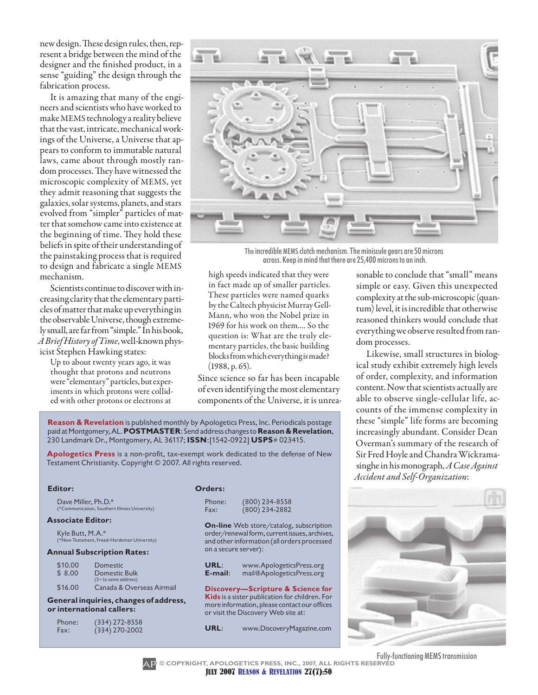new design. These design rules, then, represent a bridge between the mind of the designer and the finished product, in a sense "guiding" the design through the fabrication process.

It is amazing that many of the engineers and scientists who have worked to make MEMS technology a reality believe that the vast, intricate, mechanical workings of the Universe, a Universe that appears to conform to immutable natural laws, came about through mostly random processes. They have witnessed the microscopic complexity of MEMS, yet they admit reasoning that suggests the galaxies, solar systems, planets, and stars evolved from "simpler" particles of matter that somehow came into existence at the beginning of time. They hold these beliefs in spite of their understanding of the painstaking process that is required to design and fabricate a single MEMS mechanism.

Scientists continue to discover with increasing clarity that the elementary particles of matter that make up everything in the observable Universe, though extremely small, are far from "simple." In his book, *A Brief History of Time*, well-known physicist Stephen Hawking states:

Up to about twenty years ago, it was thought that protons and neutrons were "elementary" particles, but experiments in which protons were collided with other protons or electrons at



The incredible MEMS clutch mechanism. The miniscule gears are 50 microns across. Keep in mind that there are 25,400 microns to an inch.

high speeds indicated that they were in fact made up of smaller particles. These particles were named quarks by the Caltech physicist Murray Gell-Mann, who won the Nobel prize in 1969 for his work on them.... So the question is: What are the truly elementary particles, the basic building blocks from which everything is made? (1988, p. 65).

Since science so far has been incapable of even identifying the most elementary components of the Universe, it is unrea-

**Reason & Revelation** is published monthly by Apologetics Press, Inc. Periodicals postage paid at Montgomery, AL. **Postmaster**: Send address changes to **Reason & Revelation**, 230 Landmark Dr., Montgomery, AL 36117; **issn**:[1542-0922] **usps**# 023415.

**Apologetics Press** is a non-profit, tax-exempt work dedicated to the defense of New Testament Christianity. Copyright © 2007. All rights reserved.

### **Editor:**

Dave Miller, Ph.D.\* (\*Communication, Southern Illinois University)

#### **Associate Editor:**

Kyle Butt, M.A.\* (\*New Testament, Freed-Hardeman University)

### **Annual Subscription Rates:**

| \$10.00 | Domestic                  |
|---------|---------------------------|
| \$8.00  | Domestic Bulk             |
|         | $(5 + to same address)$   |
| \$16.00 | Canada & Overseas Airmail |

### **General inquiries, changes of address, or international callers:**

| Phone: | $(334)$ 272-8558 |
|--------|------------------|
| Fax:   | $(334)$ 270-2002 |

#### **Orders:**

Phone: (800) 234-8558 Fax: (800) 234-2882

**On-line** Web store/catalog, subscription order/renewal form, current issues, archives, and other information (all orders processed on a secure server):

**URL:** www.ApologeticsPress.org<br>**F-mail:** mail@ApologeticsPress.org **E-mail**: mail@ApologeticsPress.org

**Discovery—Scripture & Science for Kids** is a sister publication for children. For more information, please contact our offices or visit the Discovery Web site at:

**URL**: www.DiscoveryMagazine.com

sonable to conclude that "small" means simple or easy. Given this unexpected complexity at the sub-microscopic (quantum) level, it is incredible that otherwise reasoned thinkers would conclude that everything we observe resulted from random processes.

Likewise, small structures in biological study exhibit extremely high levels of order, complexity, and information content. Now that scientists actually are able to observe single-cellular life, accounts of the immense complexity in these "simple" life forms are becoming increasingly abundant. Consider Dean Overman's summary of the research of Sir Fred Hoyle and Chandra Wickramasinghe in his monograph, *A Case Against Accident and Self-Organization*:



Fully-functioning MEMS transmission

July 2007 Reason & Revelation 27(7):50 **© COPYRIGHT, APOLOGETICS PRESS, INC., 2007, ALL RIGHTS RESERVED**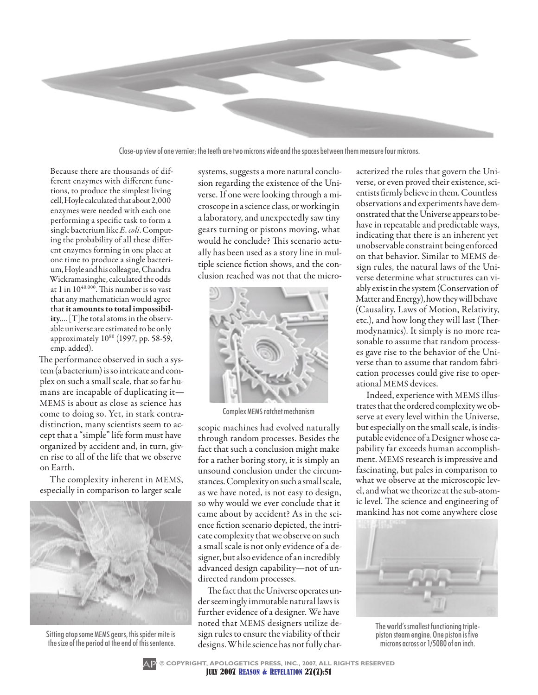

Close-up view of one vernier; the teeth are two microns wide and the spaces between them measure four microns.

Because there are thousands of different enzymes with different functions, to produce the simplest living cell, Hoyle calculated that about 2,000 enzymes were needed with each one performing a specific task to form a single bacterium like *E. coli*. Computing the probability of all these different enzymes forming in one place at one time to produce a single bacterium, Hoyle and his colleague, Chandra Wickramasinghe, calculated the odds at 1 in  $10^{40,000}$ . This number is so vast that any mathematician would agree that it amounts to total impossibility.... [T]he total atoms in the observable universe are estimated to be only approximately  $10^{80}$  (1997, pp. 58-59, emp. added).

The performance observed in such a system (a bacterium) is so intricate and complex on such a small scale, that so far humans are incapable of duplicating it— MEMS is about as close as science has come to doing so. Yet, in stark contradistinction, many scientists seem to accept that a "simple" life form must have organized by accident and, in turn, given rise to all of the life that we observe on Earth.

The complexity inherent in MEMS, especially in comparison to larger scale



Sitting atop some MEMS gears, this spider mite is the size of the period at the end of this sentence.

systems, suggests a more natural conclusion regarding the existence of the Universe. If one were looking through a microscope in a science class, or working in a laboratory, and unexpectedly saw tiny gears turning or pistons moving, what would he conclude? This scenario actually has been used as a story line in multiple science fiction shows, and the conclusion reached was not that the micro-



Complex MEMS ratchet mechanism

scopic machines had evolved naturally through random processes. Besides the fact that such a conclusion might make for a rather boring story, it is simply an unsound conclusion under the circumstances. Complexity on such a small scale, as we have noted, is not easy to design, so why would we ever conclude that it came about by accident? As in the science fiction scenario depicted, the intricate complexity that we observe on such a small scale is not only evidence of a designer, but also evidence of an incredibly advanced design capability—not of undirected random processes.

The fact that the Universe operates under seemingly immutable natural laws is further evidence of a designer. We have noted that MEMS designers utilize design rules to ensure the viability of their designs. While science has not fully char-

acterized the rules that govern the Universe, or even proved their existence, scientists firmly believe in them. Countless observations and experiments have demonstrated that the Universe appears to behave in repeatable and predictable ways, indicating that there is an inherent yet unobservable constraint being enforced on that behavior. Similar to MEMS design rules, the natural laws of the Universe determine what structures can viably exist in the system (Conservation of Matter and Energy), how they will behave (Causality, Laws of Motion, Relativity, etc.), and how long they will last (Thermodynamics). It simply is no more reasonable to assume that random processes gave rise to the behavior of the Universe than to assume that random fabrication processes could give rise to operational MEMS devices.

Indeed, experience with MEMS illustrates that the ordered complexity we observe at every level within the Universe, but especially on the small scale, is indisputable evidence of a Designer whose capability far exceeds human accomplishment. MEMS research is impressive and fascinating, but pales in comparison to what we observe at the microscopic level, and what we theorize at the sub-atomic level. The science and engineering of mankind has not come anywhere close



The world's smallest functioning triplepiston steam engine. One piston is five microns across or 1/5080 of an inch.

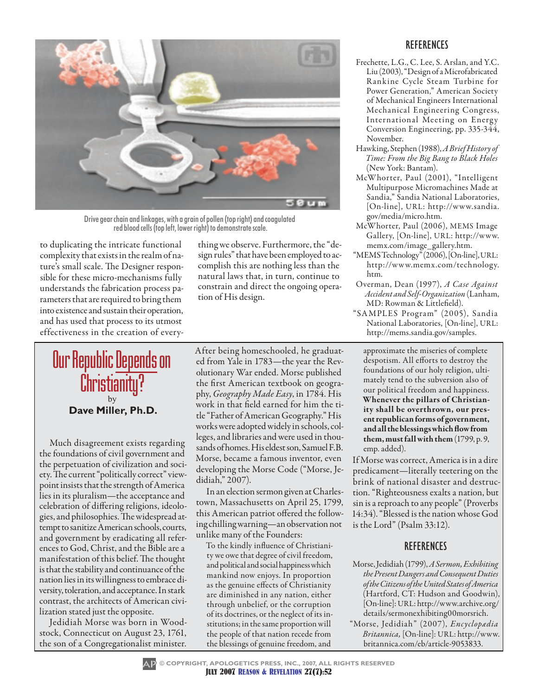

Drive gear chain and linkages, with a grain of pollen (top right) and coagulated<br>red blood cells (top left, lower right) to demonstrate scale.

to duplicating the intricate functional complexity that exists in the realm of nature's small scale. The Designer responsible for these micro-mechanisms fully understands the fabrication process parameters that are required to bring them into existence and sustain their operation, and has used that process to its utmost effectiveness in the creation of every-



Much disagreement exists regarding the foundations of civil government and the perpetuation of civilization and society. The current "politically correct" viewpoint insists that the strength of America lies in its pluralism—the acceptance and celebration of differing religions, ideologies, and philosophies. The widespread attempt to sanitize American schools, courts, and government by eradicating all references to God, Christ, and the Bible are a manifestation of this belief. The thought is that the stability and continuance of the nation lies in its willingness to embrace diversity, toleration, and acceptance. In stark contrast, the architects of American civilization stated just the opposite.

Jedidiah Morse was born in Woodstock, Connecticut on August 23, 1761, the son of a Congregationalist minister.

thing we observe. Furthermore, the "design rules" that have been employed to accomplish this are nothing less than the natural laws that, in turn, continue to constrain and direct the ongoing operation of His design.

After being homeschooled, he graduated from Yale in 1783—the year the Revolutionary War ended. Morse published the first American textbook on geography, *Geography Made Easy*, in 1784. His work in that field earned for him the title "Father of American Geography." His works were adopted widely in schools, colleges, and libraries and were used in thousands of homes. His eldest son, Samuel F.B. Morse, became a famous inventor, even developing the Morse Code ("Morse, Jedidiah," 2007).

In an election sermon given at Charlestown, Massachusetts on April 25, 1799, this American patriot offered the following chilling warning—an observation not unlike many of the Founders:

To the kindly influence of Christianity we owe that degree of civil freedom, and political and social happiness which mankind now enjoys. In proportion as the genuine effects of Christianity are diminished in any nation, either through unbelief, or the corruption of its doctrines, or the neglect of its institutions; in the same proportion will the people of that nation recede from the blessings of genuine freedom, and

### **REFERENCES**

- Frechette, L.G., C. Lee, S. Arslan, and Y.C. Liu (2003), "Design of a Microfabricated Rankine Cycle Steam Turbine for Power Generation," American Society of Mechanical Engineers International Mechanical Engineering Congress, International Meeting on Energy Conversion Engineering, pp. 335-344, November.
- Hawking, Stephen (1988), *A Brief History of Time: From the Big Bang to Black Holes*  (New York: Bantam).
- McWhorter, Paul (2001), "Intelligent Multipurpose Micromachines Made at Sandia," Sandia National Laboratories, [On-line], URL: http://www.sandia. gov/media/micro.htm.
- McWhorter, Paul (2006), MEMS Image Gallery, [On-line], URL: http://www. memx.com/image\_gallery.htm.
- "MEMS Technology" (2006), [On-line], URL: http://www.memx.com/technology. htm.
- Overman, Dean (1997), *A Case Against Accident and Self-Organization* (Lanham, MD: Rowman & Littlefield).
- "SA MPLES Program" (2005), Sandia National Laboratories, [On-line], URL: http://mems.sandia.gov/samples.

approximate the miseries of complete despotism. All efforts to destroy the foundations of our holy religion, ultimately tend to the subversion also of our political freedom and happiness. Whenever the pillars of Christianity shall be overthrown, our present republican forms of government, and all the blessings which flow from them, must fall with them (1799, p. 9, emp. added).

If Morse was correct, America is in a dire predicament—literally teetering on the brink of national disaster and destruction. "Righteousness exalts a nation, but sin is a reproach to any people" (Proverbs 14:34). "Blessed is the nation whose God is the Lord" (Psalm 33:12).

### **REFERENCES**

- Morse, Jedidiah (1799), *A Sermon, Exhibiting the Present Dangers and Consequent Duties of the Citizens of the United States of America*  (Hartford, CT: Hudson and Goodwin), [On-line]: URL: http://www.archive.org/ details/sermonexhibiting00morsrich.
- "Morse, Jedidiah" (2007), *Encyclopædia Britannica,* [On-line]: URL: http://www. britannica.com/eb/article-9053833.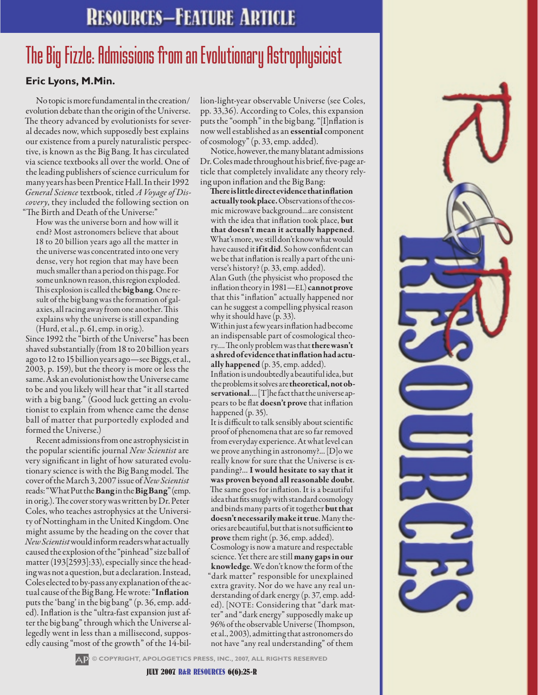# **RESOURCES-FEATURE ARTICLE**

# The Big Fizzle: Admissions from an Evolutionary Astrophysicist

### **Eric Lyons, M.Min.**

No topic is more fundamental in the creation/ evolution debate than the origin of the Universe. The theory advanced by evolutionists for several decades now, which supposedly best explains our existence from a purely naturalistic perspective, is known as the Big Bang. It has circulated via science textbooks all over the world. One of the leading publishers of science curriculum for many years has been Prentice Hall. In their 1992 *General Science* textbook, titled *A Voyage of Discovery*, they included the following section on "The Birth and Death of the Universe:"

How was the universe born and how will it end? Most astronomers believe that about 18 to 20 billion years ago all the matter in the universe was concentrated into one very dense, very hot region that may have been much smaller than a period on this page. For some unknown reason, this region exploded. This explosion is called the big bang. One result of the big bang was the formation of galaxies, all racing away from one another. This explains why the universe is still expanding (Hurd, et al., p. 61, emp. in orig.).

Since 1992 the "birth of the Universe" has been shaved substantially (from 18 to 20 billion years ago to 12 to 15 billion years ago—see Biggs, et al., 2003, p. 159), but the theory is more or less the same. Ask an evolutionist how the Universe came to be and you likely will hear that "it all started with a big bang." (Good luck getting an evolutionist to explain from whence came the dense ball of matter that purportedly exploded and formed the Universe.)

Recent admissions from one astrophysicist in the popular scientific journal *New Scientist* are very significant in light of how saturated evolutionary science is with the Big Bang model. The cover of the March 3, 2007 issue of *New Scientist* reads: "What Put the Bang in the Big Bang" (emp. in orig.). The cover story was written by Dr. Peter Coles, who teaches astrophysics at the University of Nottingham in the United Kingdom. One might assume by the heading on the cover that *New Scientist* would inform readers what actually caused the explosion of the "pinhead" size ball of matter (193[2593]:33), especially since the heading was not a question, but a declaration. Instead, Coles elected to by-pass any explanation of the actual cause of the Big Bang. He wrote: "Inflation puts the 'bang' in the big bang" (p. 36, emp. added). Inflation is the "ultra-fast expansion just after the big bang" through which the Universe allegedly went in less than a millisecond, supposedly causing "most of the growth" of the 14-bil-

lion-light-year observable Universe (see Coles, pp. 33,36). According to Coles, this expansion puts the "oomph" in the big bang. "[I]nflation is now well established as an essential component of cosmology" (p. 33, emp. added).

Notice, however, the many blatant admissions Dr. Coles made throughout his brief, five-page article that completely invalidate any theory relying upon inflation and the Big Bang:

There is little direct evidence that inflation actually took place. Observations of the cosmic microwave background...are consistent with the idea that inflation took place, but that doesn't mean it actually happened. What's more, we still don't know what would have caused it if it did. So how confident can we be that inflation is really a part of the universe's history? (p. 33, emp. added).

Alan Guth (the physicist who proposed the inflation theory in 1981—EL) cannot prove that this "inflation" actually happened nor can he suggest a compelling physical reason why it should have (p. 33).

Within just a few years inflation had become an indispensable part of cosmological theory.... The only problem was that there wasn't a shred of evidence that inflation had actually happened (p. 35, emp. added).

Inflation is undoubtedly a beautiful idea, but the problems it solves are theoretical, not observational.... [T]he fact that the universe appears to be flat doesn't prove that inflation happened (p. 35).

It is difficult to talk sensibly about scientific proof of phenomena that are so far removed from everyday experience. At what level can we prove anything in astronomy?... [D]o we really know for sure that the Universe is expanding?... I would hesitate to say that it was proven beyond all reasonable doubt. The same goes for inflation. It is a beautiful idea that fits snugly with standard cosmology and binds many parts of it together **but that** doesn't necessarily make it true. Many theories are beautiful, but that is not sufficient to prove them right (p. 36, emp. added).

Cosmology is now a mature and respectable science. Yet there are still many gaps in our knowledge. We don't know the form of the "dark matter" responsible for unexplained extra gravity. Nor do we have any real understanding of dark energy (p. 37, emp. added). [NOTE: Considering that "dark matter" and "dark energy" supposedly make up 96% of the observable Universe (Thompson, et al., 2003), admitting that astronomers do not have "any real understanding" of them



**© COPYRIGHT, APOLOGETICS PRESS, INC., 2007, ALL RIGHTS RESERVED**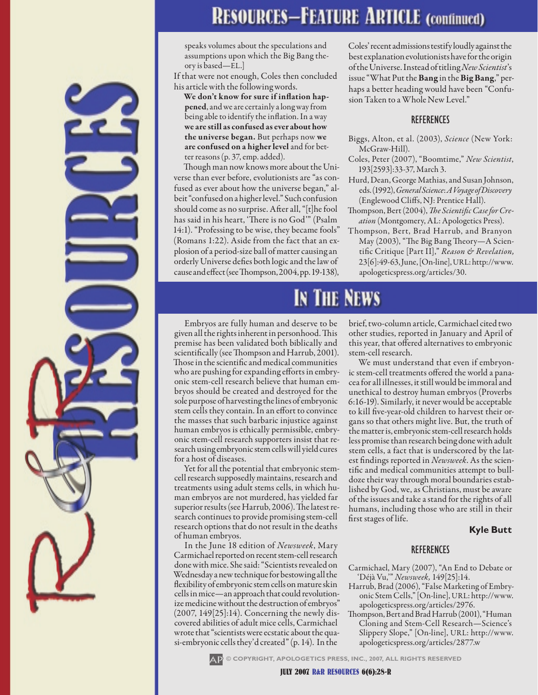



speaks volumes about the speculations and assumptions upon which the Big Bang theory is based—EL.]

If that were not enough, Coles then concluded his article with the following words.

We don't know for sure if inflation happened, and we are certainly a long way from being able to identify the inflation. In a way we are still as confused as ever about how the universe began. But perhaps now we are confused on a higher level and for better reasons (p. 37, emp. added).

Though man now knows more about the Universe than ever before, evolutionists are "as confused as ever about how the universe began," albeit "confused on a higher level." Such confusion should come as no surprise. After all, "[t]he fool has said in his heart, 'There is no God'" (Psalm 14:1). "Professing to be wise, they became fools" (Romans 1:22). Aside from the fact that an explosion of a period-size ball of matter causing an orderly Universe defies both logic and the law of cause and effect (see Thompson, 2004, pp. 19-138), Coles' recent admissions testify loudly against the best explanation evolutionists have for the origin of the Universe. Instead of titling *New Scientist*'s issue "What Put the Bang in the Big Bang," perhaps a better heading would have been "Confusion Taken to a Whole New Level."

### **REFERENCES**

- Biggs, Alton, et al. (2003), *Science* (New York: McGraw-Hill).
- Coles, Peter (2007), "Boomtime," *New Scientist*, 193[2593]:33-37, March 3.
- Hurd, Dean, George Mathias, and Susan Johnson, eds. (1992), *General Science*: *A Voyage of Discovery* (Englewood Cliffs, NJ: Prentice Hall).
- Thompson, Bert (2004), *The Scientific Case for Creation* (Montgomery, AL: Apologetics Press).
- Thompson, Bert, Brad Harrub, and Branyon May (2003), "The Big Bang Theory—A Scientific Critique [Part II]," *Reason & Revelation,* 23[6]:49-63, June, [On-line], URL: http://www. apologeticspress.org/articles/30.

# **IN THE NEWS**

Embryos are fully human and deserve to be given all the rights inherent in personhood. This premise has been validated both biblically and scientifically (see Thompson and Harrub, 2001). Those in the scientific and medical communities who are pushing for expanding efforts in embryonic stem-cell research believe that human embryos should be created and destroyed for the sole purpose of harvesting the lines of embryonic stem cells they contain. In an effort to convince the masses that such barbaric injustice against human embryos is ethically permissible, embryonic stem-cell research supporters insist that research using embryonic stem cells will yield cures for a host of diseases.

Yet for all the potential that embryonic stemcell research supposedly maintains, research and treatments using adult stems cells, in which human embryos are not murdered, has yielded far superior results (see Harrub, 2006). The latest research continues to provide promising stem-cell research options that do not result in the deaths of human embryos.

In the June 18 edition of *Newsweek*, Mary Carmichael reported on recent stem-cell research done with mice. She said: "Scientists revealed on Wednesday a new technique for bestowing all the flexibility of embryonic stem cells on mature skin cells in mice—an approach that could revolutionize medicine without the destruction of embryos" (2007, 149[25]:14). Concerning the newly discovered abilities of adult mice cells, Carmichael wrote that "scientists were ecstatic about the quasi-embryonic cells they'd created" (p. 14). In the

brief, two-column article, Carmichael cited two other studies, reported in January and April of this year, that offered alternatives to embryonic stem-cell research.

We must understand that even if embryonic stem-cell treatments offered the world a panacea for all illnesses, it still would be immoral and unethical to destroy human embryos (Proverbs 6:16-19). Similarly, it never would be acceptable to kill five-year-old children to harvest their organs so that others might live. But, the truth of the matter is, embryonic stem-cell research holds less promise than research being done with adult stem cells, a fact that is underscored by the latest findings reported in *Newsweek*. As the scientific and medical communities attempt to bulldoze their way through moral boundaries established by God, we, as Christians, must be aware of the issues and take a stand for the rights of all humans, including those who are still in their first stages of life.

### **Kyle Butt**

### **REFERENCES**

- Carmichael, Mary (2007), "An End to Debate or 'Déjà Vu,'" *Newsweek,* 149[25]:14.
- Harrub, Brad (2006), "False Marketing of Embryonic Stem Cells," [On-line], URL: http://www. apologeticspress.org/articles/2976.
- Thompson, Bert and Brad Harrub (2001), "Human Cloning and Stem-Cell Research—Science's Slippery Slope," [On-line], URL: http://www. apologeticspress.org/articles/2877.w

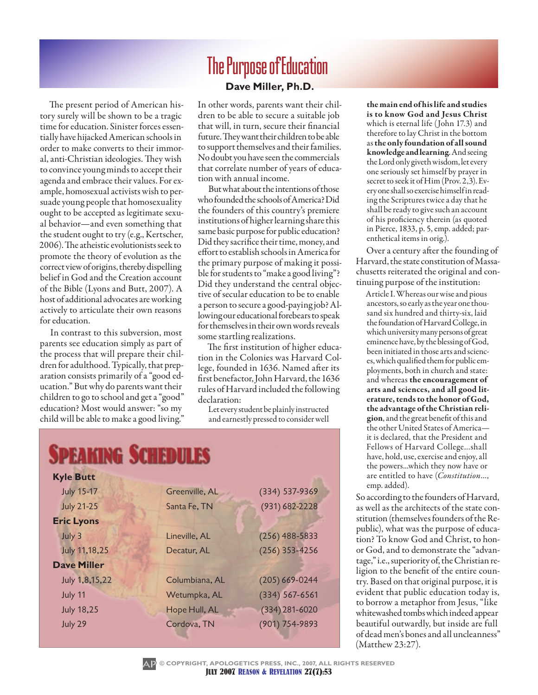# The Purpose of Education **Dave Miller, Ph.D.**

The present period of American history surely will be shown to be a tragic time for education. Sinister forces essentially have hijacked American schools in order to make converts to their immoral, anti-Christian ideologies. They wish to convince young minds to accept their agenda and embrace their values. For example, homosexual activists wish to persuade young people that homosexuality ought to be accepted as legitimate sexual behavior—and even something that the student ought to try (e.g., Kertscher, 2006). The atheistic evolutionists seek to promote the theory of evolution as the correct view of origins, thereby dispelling belief in God and the Creation account of the Bible (Lyons and Butt, 2007). A host of additional advocates are working actively to articulate their own reasons for education.

In contrast to this subversion, most parents see education simply as part of the process that will prepare their children for adulthood. Typically, that preparation consists primarily of a "good education." But why do parents want their children to go to school and get a "good" education? Most would answer: "so my child will be able to make a good living."

In other words, parents want their children to be able to secure a suitable job that will, in turn, secure their financial future. They want their children to be able to support themselves and their families. No doubt you have seen the commercials that correlate number of years of education with annual income.

But what about the intentions of those who founded the schools of America? Did the founders of this country's premiere institutions of higher learning share this same basic purpose for public education? Did they sacrifice their time, money, and effort to establish schools in America for the primary purpose of making it possible for students to "make a good living"? Did they understand the central objective of secular education to be to enable a person to secure a good-paying job? Allowing our educational forebears to speak for themselves in their own words reveals some startling realizations.

The first institution of higher education in the Colonies was Harvard College, founded in 1636. Named after its first benefactor, John Harvard, the 1636 rules of Harvard included the following declaration:

Let every student be plainly instructed and earnestly pressed to consider well

| <b>SPEAKING SCHEDULES</b> |                |                    |
|---------------------------|----------------|--------------------|
| <b>Kyle Butt</b>          |                |                    |
| <b>July 15-17</b>         | Greenville, AL | (334) 537-9369     |
| <b>July 21-25</b>         | Santa Fe, TN   | (931) 682-2228     |
| <b>Eric Lyons</b>         |                |                    |
| July 3                    | Lineville, AL  | $(256)$ 488-5833   |
| July 11,18,25             | Decatur, AL    | $(256)$ 353-4256   |
| <b>Dave Miller</b>        |                |                    |
| July 1,8,15,22            | Columbiana, AL | $(205) 669 - 0244$ |
| July 11                   | Wetumpka, AL   | $(334) 567 - 6561$ |
| <b>July 18,25</b>         | Hope Hull, AL  | $(334)$ 281-6020   |
| July 29                   | Cordova, TN    | (901) 754-9893     |

the main end of his life and studies is to know God and Jesus Christ which is eternal life (John 17.3) and therefore to lay Christ in the bottom as the only foundation of all sound knowledge and learning. And seeing the Lord only giveth wisdom, let every one seriously set himself by prayer in secret to seek it of Him (Prov. 2,3). Every one shall so exercise himself in reading the Scriptures twice a day that he shall be ready to give such an account of his proficiency therein (as quoted in Pierce, 1833, p. 5, emp. added; parenthetical items in orig.).

Over a century after the founding of Harvard, the state constitution of Massachusetts reiterated the original and continuing purpose of the institution:

Article I. Whereas our wise and pious ancestors, so early as the year one thousand six hundred and thirty-six, laid the foundation of Harvard College, in which university many persons of great eminence have, by the blessing of God, been initiated in those arts and sciences, which qualified them for public employments, both in church and state: and whereas the encouragement of arts and sciences, and all good literature, tends to the honor of God, the advantage of the Christian religion, and the great benefit of this and the other United States of America it is declared, that the President and Fellows of Harvard College...shall have, hold, use, exercise and enjoy, all the powers...which they now have or are entitled to have (*Constitution*..., emp. added).

So according to the founders of Harvard, as well as the architects of the state constitution (themselves founders of the Republic), what was the purpose of education? To know God and Christ, to honor God, and to demonstrate the "advantage," i.e., superiority of, the Christian religion to the benefit of the entire country. Based on that original purpose, it is evident that public education today is, to borrow a metaphor from Jesus, "like whitewashed tombs which indeed appear beautiful outwardly, but inside are full of dead men's bones and all uncleanness" (Matthew 23:27).

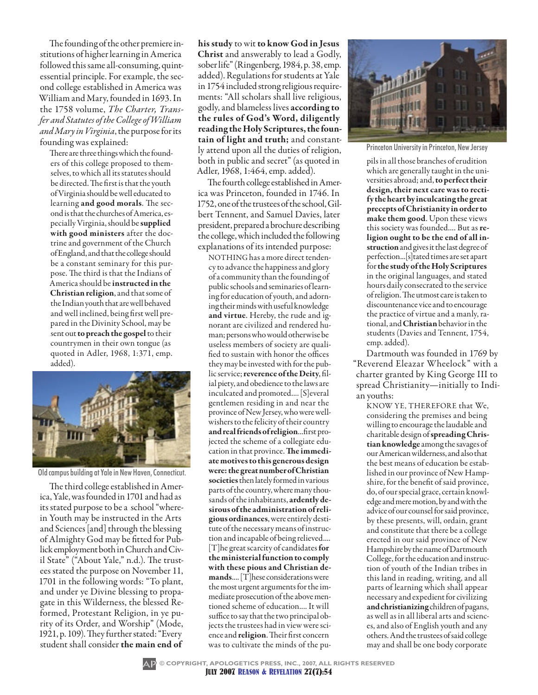The founding of the other premiere institutions of higher learning in America followed this same all-consuming, quintessential principle. For example, the second college established in America was William and Mary, founded in 1693. In the 1758 volume, *The Charter, Transfer and Statutes of the College of William and Mary in Virginia*, the purpose for its founding was explained:

There are three things which the founders of this college proposed to themselves, to which all its statutes should be directed. The first is that the youth of Virginia should be well educated to learning and good morals. The second is that the churches of America, especially Virginia, should be supplied with good ministers after the doctrine and government of the Church of England, and that the college should be a constant seminary for this purpose. The third is that the Indians of America should be instructed in the Christian religion, and that some of the Indian youth that are well behaved and well inclined, being first well prepared in the Divinity School, may be sent out to preach the gospel to their countrymen in their own tongue (as quoted in Adler, 1968, 1:371, emp. added).



Old campus building at Yale in New Haven, Connecticut.

The third college established in America, Yale, was founded in 1701 and had as its stated purpose to be a school "wherein Youth may be instructed in the Arts and Sciences [and] through the blessing of Almighty God may be fitted for Publick employment both in Church and Civil State" ("About Yale," n.d.). The trustees stated the purpose on November 11, 1701 in the following words: "To plant, and under ye Divine blessing to propagate in this Wilderness, the blessed Reformed, Protestant Religion, in ye purity of its Order, and Worship" (Mode, 1921, p. 109). They further stated: "Every student shall consider the main end of

his study to wit to know God in Jesus Christ and answerably to lead a Godly, sober life" (Ringenberg, 1984, p. 38, emp. added). Regulations for students at Yale in 1754 included strong religious requirements: "All scholars shall live religious, godly, and blameless lives according to the rules of God's Word, diligently reading the Holy Scriptures, the fountain of light and truth; and constantly attend upon all the duties of religion, both in public and secret" (as quoted in Adler, 1968, 1:464, emp. added).

The fourth college established in America was Princeton, founded in 1746. In 1752, one of the trustees of the school, Gilbert Tennent, and Samuel Davies, later president, prepared a brochure describing the college, which included the following explanations of its intended purpose:

NOTHING has a more direct tendency to advance the happiness and glory of a community than the founding of public schools and seminaries of learning for education of youth, and adorning their minds with useful knowledge and virtue. Hereby, the rude and ignorant are civilized and rendered human; persons who would otherwise be useless members of society are qualified to sustain with honor the offices they may be invested with for the public service; reverence of the Deity, filial piety, and obedience to the laws are inculcated and promoted.... [S]everal gentlemen residing in and near the province of New Jersey, who were wellwishers to the felicity of their country and real friends of religion...first projected the scheme of a collegiate education in that province. The immediate motives to this generous design were: the great number of Christian societies then lately formed in various parts of the country, where many thousands of the inhabitants, ardently desirous of the administration of religious ordinances, were entirely destitute of the necessary means of instruction and incapable of being relieved....  $[T]$ he great scarcity of candidates **for** the ministerial function to comply with these pious and Christian demands.... [T]hese considerations were the most urgent arguments for the immediate prosecution of the above mentioned scheme of education.... It will suffice to say that the two principal objects the trustees had in view were science and religion. Their first concern was to cultivate the minds of the pu-



Princeton University in Princeton, New Jersey

pils in all those branches of erudition which are generally taught in the universities abroad; and, to perfect their design, their next care was to rectify the heart by inculcating the great precepts of Christianity in order to make them good. Upon these views this society was founded.... But as religion ought to be the end of all instruction and gives it the last degree of perfection...[s]tated times are set apart for the study of the Holy Scriptures in the original languages, and stated hours daily consecrated to the service of religion. The utmost care is taken to discountenance vice and to encourage the practice of virtue and a manly, rational, and Christian behavior in the students (Davies and Tennent, 1754, emp. added).

Dartmouth was founded in 1769 by "Reverend Eleazar Wheelock" with a charter granted by King George III to spread Christianity—initially to Indian youths:

KNOW YE, THEREFORE that We, considering the premises and being willing to encourage the laudable and charitable design of spreading Christian knowledge among the savages of our American wilderness, and also that the best means of education be established in our province of New Hampshire, for the benefit of said province, do, of our special grace, certain knowledge and mere motion, by and with the advice of our counsel for said province, by these presents, will, ordain, grant and constitute that there be a college erected in our said province of New Hampshire by the name of Dartmouth College, for the education and instruction of youth of the Indian tribes in this land in reading, writing, and all parts of learning which shall appear necessary and expedient for civilizing and christianizing children of pagans, as well as in all liberal arts and sciences, and also of English youth and any others. And the trustees of said college may and shall be one body corporate

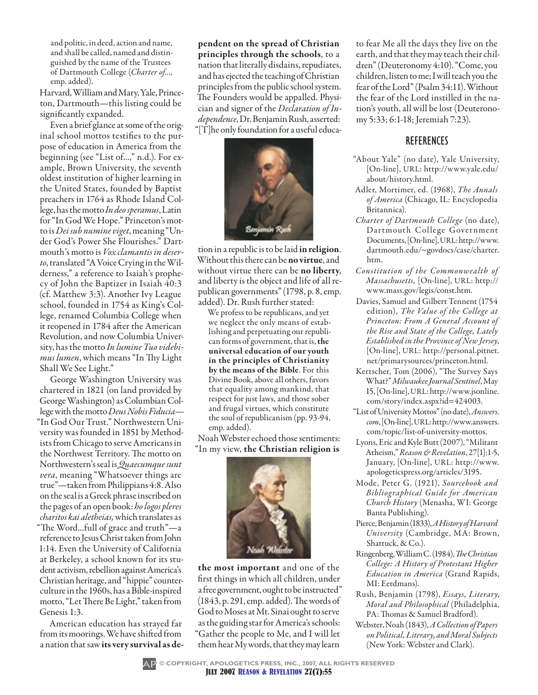and politic, in deed, action and name, and shall be called, named and distinguished by the name of the Trustees of Dartmouth College (*Charter of*..., emp. added).

Harvard, William and Mary, Yale, Princeton, Dartmouth—this listing could be significantly expanded.

Even a brief glance at some of the original school mottos testifies to the purpose of education in America from the beginning (see "List of...," n.d.). For example, Brown University, the seventh oldest institution of higher learning in the United States, founded by Baptist preachers in 1764 as Rhode Island College, has the motto *In deo speramus*, Latin for "In God We Hope." Princeton's motto is *Dei sub numine viget*, meaning "Under God's Power She Flourishes." Dartmouth's motto is *Vox clamantis in deserto*, translated "A Voice Crying in the Wilderness," a reference to Isaiah's prophecy of John the Baptizer in Isaiah 40:3 (cf. Matthew 3:3). Another Ivy League school, founded in 1754 as King's College, renamed Columbia College when it reopened in 1784 after the American Revolution, and now Columbia University, has the motto *In lumine Tuo videbimus lumen*, which means "In Thy Light Shall We See Light."

George Washington University was chartered in 1821 (on land provided by George Washington) as Columbian College with the motto *Deus Nobis Fiducia*— "In God Our Trust." Northwestern University was founded in 1851 by Methodists from Chicago to serve Americans in the Northwest Territory. The motto on Northwestern's seal is *Quaecumque sunt vera*, meaning "Whatsoever things are true"—taken from Philippians 4:8. Also on the seal is a Greek phrase inscribed on the pages of an open book: *ho logos pleres charitos kai aletheias,* which translates as "The Word...full of grace and truth"—a reference to Jesus Christ taken from John 1:14. Even the University of California at Berkeley, a school known for its student activism, rebellion against America's Christian heritage, and "hippie" counterculture in the 1960s, has a Bible-inspired motto, "Let There Be Light," taken from Genesis 1:3.

American education has strayed far from its moorings. We have shifted from a nation that saw its very survival as de-

pendent on the spread of Christian principles through the schools, to a nation that literally disdains, repudiates, and has ejected the teaching of Christian principles from the public school system. The Founders would be appalled. Physician and signer of the *Declaration of Independence*, Dr. Benjamin Rush, asserted: "[T]he only foundation for a useful educa-



tion in a republic is to be laid in religion. Without this there can be no virtue, and without virtue there can be **no liberty**, and liberty is the object and life of all republican governments" (1798, p. 8, emp. added). Dr. Rush further stated:

We profess to be republicans, and yet we neglect the only means of establishing and perpetuating our republican forms of government, that is, the universal education of our youth in the principles of Christianity by the means of the Bible. For this Divine Book, above all others, favors that equality among mankind, that respect for just laws, and those sober and frugal virtues, which constitute the soul of republicanism (pp. 93-94, emp. added).

Noah Webster echoed those sentiments: "In my view, the Christian religion is



the most important and one of the first things in which all children, under a free government, ought to be instructed" (1843, p. 291, emp. added). The words of God to Moses at Mt. Sinai ought to serve as the guiding star for America's schools: "Gather the people to Me, and I will let them hear My words, that they may learn

to fear Me all the days they live on the earth, and that they may teach their children" (Deuteronomy 4:10). "Come, you children, listen to me; I will teach you the fear of the Lord" (Psalm 34:11). Without the fear of the Lord instilled in the nation's youth, all will be lost (Deuteronomy 5:33; 6:1-18; Jeremiah 7:23).

### **REFERENCES**

- "About Yale" (no date), Yale University, [On-line], URL: http://www.yale.edu/ about/history.html.
- Adler, Mortimer, ed. (1968), *The Annals of America* (Chicago, IL: Encyclopedia Britannica).
- *Charter of Dartmouth College* (no date), Dartmouth College Government Documents, [On-line], URL: http://www. dartmouth.edu/~govdocs/case/charter. htm.
- *Constitution of the Commonwealth of Massachusetts,* [On-line], URL: http:// www.mass.gov/legis/const.htm.
- Davies, Samuel and Gilbert Tennent (1754 edition), *The Value of the College at Princeton: From A General Account of the Rise and State of the College, Lately Established in the Province of New Jersey*, [On-line], URL: http://personal.pitnet. net/primarysources/princeton.html.
- Kertscher, Tom (2006), "The Survey Says What?" *Milwaukee Journal Sentinel*, May 15, [On-line], URL: http://www.jsonline. com/story/index.aspx?id=424003.
- "List of University Mottos" (no date), *Answers. com*, [On-line], URL: http://www.answers. com/topic/list-of-university-mottos.
- Lyons, Eric and Kyle Butt (2007), "Militant Atheism," *Reason & Revelation*, 27[1]:1-5, January, [On-line], URL: http://www. apologeticspress.org/articles/3195.
- Mode, Peter G. (1921), *Sourcebook and Bibliographical Guide for American Church History* (Menasha, WI: George Banta Publishing).
- Pierce, Benjamin (1833), *A History of Harvard University* (Cambridge, MA: Brown, Shattuck, & Co.).
- Ringenberg, William C. (1984), *The Christian College: A History of Protestant Higher Education in America* (Grand Rapids, MI: Eerdmans).
- Rush, Benjamin (1798), *Essays, Literary, Moral and Philosophical* (Philadelphia, PA: Thomas & Samuel Bradford).
- Webster, Noah (1843), *A Collection of Papers on Political, Literary, and Moral Subjects* (New York: Webster and Clark).